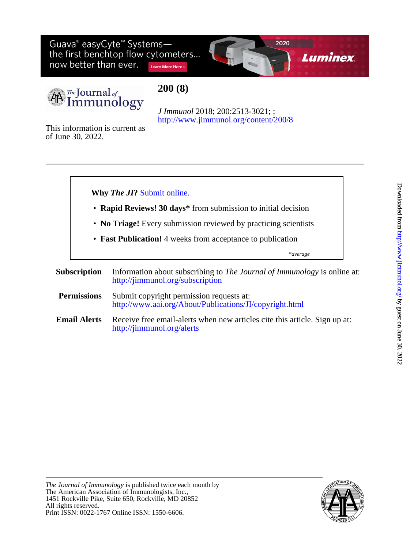Guava® easyCyte<sup>™</sup> Systems—<br>the first benchtop flow cytometers... now better than ever. Learn More Here >





**200 (8)**

<http://www.jimmunol.org/content/200/8> *J Immunol* 2018; 200:2513-3021; ;

of June 30, 2022. This information is current as



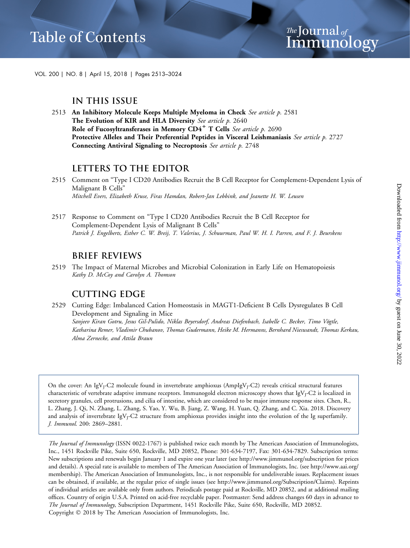VOL. 200 | NO. 8 | April 15, 2018 | Pages 2513–3024

#### **IN THIS ISSUE**

2513 An Inhibitory Molecule Keeps Multiple Myeloma in Check See article p. 2581 The Evolution of KIR and HLA Diversity See article p. 2640 Role of Fucosyltransferases in Memory  $CD4^+$  T Cells See article p. 2690 Protective Alleles and Their Preferential Peptides in Visceral Leishmaniasis See article p. 2727 Connecting Antiviral Signaling to Necroptosis See article p. 2748

### **LETTERS TO THE EDITOR**

2517 Response to Comment on "Type I CD20 Antibodies Recruit the B Cell Receptor for Complement-Dependent Lysis of Malignant B Cells" Patrick J. Engelberts, Esther C. W. Breij, T. Valerius, J. Schuurman, Paul W. H. I. Parren, and F. J. Beurskens

#### **BRIEF REVIEWS**

2519 The Impact of Maternal Microbes and Microbial Colonization in Early Life on Hematopoiesis Kathy D. McCoy and Carolyn A. Thomson

### **CUTTING EDGE**

2529 Cutting Edge: Imbalanced Cation Homeostasis in MAGT1-Deficient B Cells Dysregulates B Cell Development and Signaling in Mice Sanjeev Kiran Gotru, Jesus Gil-Pulido, Niklas Beyersdorf, Andreas Diefenbach, Isabelle C. Becker, Timo Vögtle, Katharina Remer, Vladimir Chubanov, Thomas Gudermann, Heike M. Hermanns, Bernhard Nieswandt, Thomas Kerkau, Alma Zernecke, and Attila Braun

On the cover: An IgV<sub>J</sub>-C2 molecule found in invertebrate amphioxus (AmpIgV<sub>J</sub>-C2) reveals critical structural features characteristic of vertebrate adaptive immune receptors. Immunogold electron microscopy shows that IgV<sub>J</sub>-C2 is localized in secretory granules, cell protrusions, and cilia of intestine, which are considered to be major immune response sites. Chen, R., L. Zhang, J. Qi, N. Zhang, L. Zhang, S. Yao, Y. Wu, B. Jiang, Z. Wang, H. Yuan, Q. Zhang, and C. Xia. 2018. Discovery and analysis of invertebrate IgV<sub>I</sub>-C2 structure from amphioxus provides insight into the evolution of the Ig superfamily. J. Immunol. 200: 2869–2881.

The Journal of Immunology (ISSN 0022-1767) is published twice each month by The American Association of Immunologists, Inc., 1451 Rockville Pike, Suite 650, Rockville, MD 20852, Phone: 301-634-7197, Fax: 301-634-7829. Subscription terms: New subscriptions and renewals begin January 1 and expire one year later (see http://www.jimmunol.org/subscription for prices and details). A special rate is available to members of The American Association of Immunologists, Inc. (see [http://www.aai.org/](http://www.aai.org/membership) [membership](http://www.aai.org/membership)). The American Association of Immunologists, Inc., is not responsible for undeliverable issues. Replacement issues can be obtained, if available, at the regular price of single issues (see<http://www.jimmunol.org/Subscription/Claims>). Reprints of individual articles are available only from authors. Periodicals postage paid at Rockville, MD 20852, and at additional mailing offices. Country of origin U.S.A. Printed on acid-free recyclable paper. Postmaster: Send address changes 60 days in advance to The Journal of Immunology, Subscription Department, 1451 Rockville Pike, Suite 650, Rockville, MD 20852. Copyright 2018 by The American Association of Immunologists, Inc.

<sup>2515</sup> Comment on "Type I CD20 Antibodies Recruit the B Cell Receptor for Complement-Dependent Lysis of Malignant B Cells" Mitchell Evers, Elizabeth Kruse, Firas Hamdan, Robert-Jan Lebbink, and Jeanette H. W. Leusen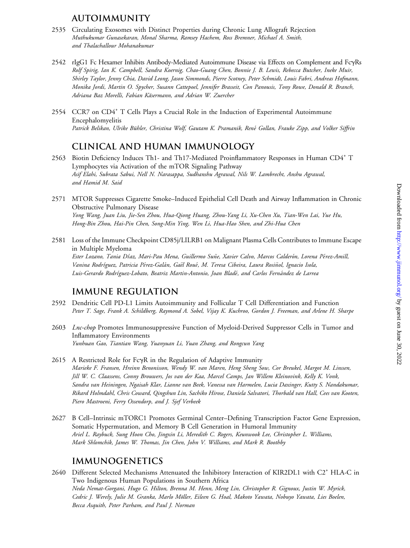# **AUTOIMMUNITY**

- 2535 Circulating Exosomes with Distinct Properties during Chronic Lung Allograft Rejection Muthukumar Gunasekaran, Monal Sharma, Ramsey Hachem, Ross Bremner, Michael A. Smith, and Thalachallour Mohanakumar
- 2542 rIgG1 Fc Hexamer Inhibits Antibody-Mediated Autoimmune Disease via Effects on Complement and FcgRs Rolf Spirig, Ian K. Campbell, Sandra Koernig, Chao-Guang Chen, Bonnie J. B. Lewis, Rebecca Butcher, Ineke Muir, Shirley Taylor, Jenny Chia, David Leong, Jason Simmonds, Pierre Scotney, Peter Schmidt, Louis Fabri, Andreas Hofmann, Monika Jordi, Martin O. Spycher, Susann Cattepoel, Jennifer Brasseit, Con Panousis, Tony Rowe, Donald R. Branch, Adriana Baz Morelli, Fabian Käsermann, and Adrian W. Zuercher
- 2554 CCR7 on CD4<sup>+</sup> T Cells Plays a Crucial Role in the Induction of Experimental Autoimmune Encephalomyelitis Patrick Belikan, Ulrike Bühler, Christina Wolf, Gautam K. Pramanik, René Gollan, Frauke Zipp, and Volker Siffrin

#### **CLINICAL AND HUMAN IMMUNOLOGY**

- 2563 Biotin Deficiency Induces Th1- and Th17-Mediated Proinflammatory Responses in Human CD4<sup>+</sup> T Lymphocytes via Activation of the mTOR Signaling Pathway Asif Elahi, Subrata Sabui, Nell N. Narasappa, Sudhanshu Agrawal, Nils W. Lambrecht, Anshu Agrawal, and Hamid M. Said
- 2571 MTOR Suppresses Cigarette Smoke–Induced Epithelial Cell Death and Airway Inflammation in Chronic Obstructive Pulmonary Disease Yong Wang, Juan Liu, Jie-Sen Zhou, Hua-Qiong Huang, Zhou-Yang Li, Xu-Chen Xu, Tian-Wen Lai, Yue Hu, Hong-Bin Zhou, Hai-Pin Chen, Song-Min Ying, Wen Li, Hua-Hao Shen, and Zhi-Hua Chen
- 2581 Loss of the Immune Checkpoint CD85j/LILRB1 on Malignant Plasma Cells Contributes to Immune Escape in Multiple Myeloma Ester Lozano, Tania Díaz, Mari-Pau Mena, Guillermo Suñe, Xavier Calvo, Marcos Calderón, Lorena Pérez-Amill, Vanina Rodríguez, Patricia Pérez-Galán, Gaël Roué, M. Teresa Cibeira, Laura Rosiñol, Ignacio Isola, Luis-Gerardo Rodríguez-Lobato, Beatriz Martin-Antonio, Joan Bladé, and Carlos Fernández de Larrea

### **IMMUNE REGULATION**

- 2592 Dendritic Cell PD-L1 Limits Autoimmunity and Follicular T Cell Differentiation and Function Peter T. Sage, Frank A. Schildberg, Raymond A. Sobel, Vijay K. Kuchroo, Gordon J. Freeman, and Arlene H. Sharpe
- 2603 Lnc-chop Promotes Immunosuppressive Function of Myeloid-Derived Suppressor Cells in Tumor and Inflammatory Environments Yunhuan Gao, Tiantian Wang, Yuanyuan Li, Yuan Zhang, and Rongcun Yang
- 2615 A Restricted Role for Fc $\gamma$ R in the Regulation of Adaptive Immunity Marieke F. Fransen, Hreinn Benonisson, Wendy W. van Maren, Heng Sheng Sow, Cor Breukel, Margot M. Linssen, Jill W. C. Claassens, Conny Brouwers, Jos van der Kaa, Marcel Camps, Jan Willem Kleinovink, Kelly K. Vonk, Sandra van Heiningen, Ngaisah Klar, Lianne van Beek, Vanessa van Harmelen, Lucia Daxinger, Kutty S. Nandakumar, Rikard Holmdahl, Chris Coward, Qingshun Lin, Sachiko Hirose, Daniela Salvatori, Thorbald van Hall, Cees van Kooten, Piero Mastroeni, Ferry Ossendorp, and J. Sjef Verbeek
- 2627 B Cell–Intrinsic mTORC1 Promotes Germinal Center–Defining Transcription Factor Gene Expression, Somatic Hypermutation, and Memory B Cell Generation in Humoral Immunity Ariel L. Raybuck, Sung Hoon Cho, Jingxin Li, Meredith C. Rogers, Keunwook Lee, Christopher L. Williams, Mark Shlomchik, James W. Thomas, Jin Chen, John V. Williams, and Mark R. Boothby

### **IMMUNOGENETICS**

2640 Different Selected Mechanisms Attenuated the Inhibitory Interaction of KIR2DL1 with C2<sup>+</sup> HLA-C in Two Indigenous Human Populations in Southern Africa Neda Nemat-Gorgani, Hugo G. Hilton, Brenna M. Henn, Meng Lin, Christopher R. Gignoux, Justin W. Myrick, Cedric J. Werely, Julie M. Granka, Marlo Möller, Eileen G. Hoal, Makoto Yawata, Nobuyo Yawata, Lies Boelen, Becca Asquith, Peter Parham, and Paul J. Norman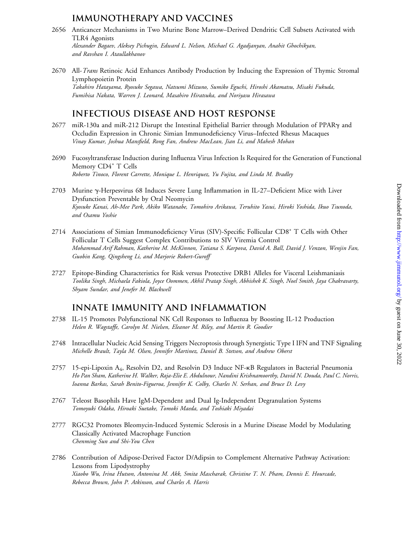## **IMMUNOTHERAPY AND VACCINES**

- 2656 Anticancer Mechanisms in Two Murine Bone Marrow–Derived Dendritic Cell Subsets Activated with TLR4 Agonists Alexander Bagaev, Aleksey Pichugin, Edward L. Nelson, Michael G. Agadjanyan, Anahit Ghochikyan, and Ravshan I. Ataullakhanov
- 2670 All-*Trans* Retinoic Acid Enhances Antibody Production by Inducing the Expression of Thymic Stromal Lymphopoietin Protein Takahiro Hatayama, Ryosuke Segawa, Natsumi Mizuno, Sumiko Eguchi, Hiroshi Akamatsu, Misaki Fukuda, Fumihisa Nakata, Warren J. Leonard, Masahiro Hiratsuka, and Noriyasu Hirasawa

## **INFECTIOUS DISEASE AND HOST RESPONSE**

- 2677 miR-130a and miR-212 Disrupt the Intestinal Epithelial Barrier through Modulation of PPARg and Occludin Expression in Chronic Simian Immunodeficiency Virus–Infected Rhesus Macaques Vinay Kumar, Joshua Mansfield, Rong Fan, Andrew MacLean, Jian Li, and Mahesh Mohan
- 2690 Fucosyltransferase Induction during Influenza Virus Infection Is Required for the Generation of Functional Memory CD4<sup>+</sup> T Cells Roberto Tinoco, Florent Carrette, Monique L. Henriquez, Yu Fujita, and Linda M. Bradley
- 2703 Murine g-Herpesvirus 68 Induces Severe Lung Inflammation in IL-27–Deficient Mice with Liver Dysfunction Preventable by Oral Neomycin Kyosuke Kanai, Ah-Mee Park, Akiko Watanabe, Tomohiro Arikawa, Teruhito Yasui, Hiroki Yoshida, Ikuo Tsunoda, and Osamu Yoshie
- 2714 Associations of Simian Immunodeficiency Virus (SIV)-Specific Follicular CD8<sup>+</sup> T Cells with Other Follicular T Cells Suggest Complex Contributions to SIV Viremia Control Mohammad Arif Rahman, Katherine M. McKinnon, Tatiana S. Karpova, David A. Ball, David J. Venzon, Wenjin Fan, Guobin Kang, Qingsheng Li, and Marjorie Robert-Guroff
- 2727 Epitope-Binding Characteristics for Risk versus Protective DRB1 Alleles for Visceral Leishmaniasis Toolika Singh, Michaela Fakiola, Joyce Oommen, Akhil Pratap Singh, Abhishek K. Singh, Noel Smith, Jaya Chakravarty, Shyam Sundar, and Jenefer M. Blackwell

### **INNATE IMMUNITY AND INFLAMMATION**

- 2738 IL-15 Promotes Polyfunctional NK Cell Responses to Influenza by Boosting IL-12 Production Helen R. Wagstaffe, Carolyn M. Nielsen, Eleanor M. Riley, and Martin R. Goodier
- 2748 Intracellular Nucleic Acid Sensing Triggers Necroptosis through Synergistic Type I IFN and TNF Signaling Michelle Brault, Tayla M. Olsen, Jennifer Martinez, Daniel B. Stetson, and Andrew Oberst
- 2757 15-epi-Lipoxin A<sub>4</sub>, Resolvin D2, and Resolvin D3 Induce NF-KB Regulators in Bacterial Pneumonia Ho Pan Sham, Katherine H. Walker, Raja-Elie E. Abdulnour, Nandini Krishnamoorthy, David N. Douda, Paul C. Norris, Ioanna Barkas, Sarah Benito-Figueroa, Jennifer K. Colby, Charles N. Serhan, and Bruce D. Levy
- 2767 Teleost Basophils Have IgM-Dependent and Dual Ig-Independent Degranulation Systems Tomoyuki Odaka, Hiroaki Suetake, Tomoki Maeda, and Toshiaki Miyadai
- 2777 RGC32 Promotes Bleomycin-Induced Systemic Sclerosis in a Murine Disease Model by Modulating Classically Activated Macrophage Function Chenming Sun and Shi-You Chen
- 2786 Contribution of Adipose-Derived Factor D/Adipsin to Complement Alternative Pathway Activation: Lessons from Lipodystrophy Xiaobo Wu, Irina Hutson, Antonina M. Akk, Smita Mascharak, Christine T. N. Pham, Dennis E. Hourcade, Rebecca Brown, John P. Atkinson, and Charles A. Harris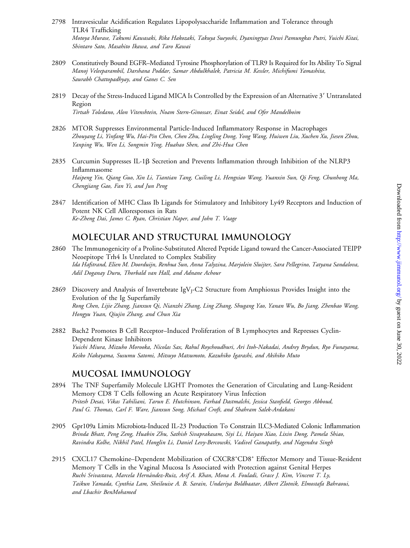- 2798 Intravesicular Acidification Regulates Lipopolysaccharide Inflammation and Tolerance through TLR4 Trafficking Motoya Murase, Takumi Kawasaki, Rika Hakozaki, Takuya Sueyoshi, Dyaningtyas Dewi Pamungkas Putri, Yuichi Kitai, Shintaro Sato, Masahito Ikawa, and Taro Kawai
- 2809 Constitutively Bound EGFR–Mediated Tyrosine Phosphorylation of TLR9 Is Required for Its Ability To Signal Manoj Veleeparambil, Darshana Poddar, Samar Abdulkhalek, Patricia M. Kessler, Michifumi Yamashita, Saurabh Chattopadhyay, and Ganes C. Sen
- 2819 Decay of the Stress-Induced Ligand MICA Is Controlled by the Expression of an Alternative 3' Untranslated Region Tirtsah Toledano, Alon Vitenshtein, Noam Stern-Ginossar, Einat Seidel, and Ofer Mandelboim
- 2826 MTOR Suppresses Environmental Particle-Induced Inflammatory Response in Macrophages Zhouyang Li, Yinfang Wu, Hai-Pin Chen, Chen Zhu, Lingling Dong, Yong Wang, Huiwen Liu, Xuchen Xu, Jiesen Zhou, Yanping Wu, Wen Li, Songmin Ying, Huahao Shen, and Zhi-Hua Chen
- 2835 Curcumin Suppresses IL-1 $\beta$  Secretion and Prevents Inflammation through Inhibition of the NLRP3 Inflammasome Haipeng Yin, Qiang Guo, Xin Li, Tiantian Tang, Cuiling Li, Hengxiao Wang, Yuanxin Sun, Qi Feng, Chunhong Ma, Chengjiang Gao, Fan Yi, and Jun Peng
- 2847 Identification of MHC Class Ib Ligands for Stimulatory and Inhibitory Ly49 Receptors and Induction of Potent NK Cell Alloresponses in Rats Ke-Zheng Dai, James C. Ryan, Christian Naper, and John T. Vaage

#### **MOLECULAR AND STRUCTURAL IMMUNOLOGY**

- 2860 The Immunogenicity of a Proline-Substituted Altered Peptide Ligand toward the Cancer-Associated TEIPP Neoepitope Trh4 Is Unrelated to Complex Stability Ida Hafstrand, Elien M. Doorduijn, Renhua Sun, Anna Talyzina, Marjolein Sluijter, Sara Pellegrino, Tatyana Sandalova, Adil Doganay Duru, Thorbald van Hall, and Adnane Achour
- 2869 Discovery and Analysis of Invertebrate IgVJ-C2 Structure from Amphioxus Provides Insight into the Evolution of the Ig Superfamily Rong Chen, Lijie Zhang, Jianxun Qi, Nianzhi Zhang, Ling Zhang, Shugang Yao, Yanan Wu, Bo Jiang, Zhenbao Wang, Hongyu Yuan, Qiujin Zhang, and Chun Xia
- 2882 Bach2 Promotes B Cell Receptor–Induced Proliferation of B Lymphocytes and Represses Cyclin-Dependent Kinase Inhibitors Yuichi Miura, Mizuho Morooka, Nicolas Sax, Rahul Roychoudhuri, Ari Itoh-Nakadai, Andrey Brydun, Ryo Funayama, Keiko Nakayama, Susumu Satomi, Mitsuyo Matsumoto, Kazuhiko Igarashi, and Akihiko Muto

### **MUCOSAL IMMUNOLOGY**

- 2894 The TNF Superfamily Molecule LIGHT Promotes the Generation of Circulating and Lung-Resident Memory CD8 T Cells following an Acute Respiratory Virus Infection Pritesh Desai, Vikas Tahiliani, Tarun E. Hutchinson, Farhad Dastmalchi, Jessica Stanfield, Georges Abboud, Paul G. Thomas, Carl F. Ware, Jianxun Song, Michael Croft, and Shahram Salek-Ardakani
- 2905 Gpr109a Limits Microbiota-Induced IL-23 Production To Constrain ILC3-Mediated Colonic Inflammation Brinda Bhatt, Peng Zeng, Huabin Zhu, Sathish Sivaprakasam, Siyi Li, Haiyan Xiao, Lixin Dong, Pamela Shiao, Ravindra Kolhe, Nikhil Patel, Honglin Li, Daniel Levy-Bercowski, Vadivel Ganapathy, and Nagendra Singh
- 2915 CXCL17 Chemokine-Dependent Mobilization of CXCR8<sup>+</sup>CD8<sup>+</sup> Effector Memory and Tissue-Resident Memory T Cells in the Vaginal Mucosa Is Associated with Protection against Genital Herpes Ruchi Srivastava, Marcela Hernández-Ruiz, Arif A. Khan, Mona A. Fouladi, Grace J. Kim, Vincent T. Ly, Taikun Yamada, Cynthia Lam, Sheilouise A. B. Sarain, Undariya Boldbaatar, Albert Zlotnik, Elmostafa Bahraoui, and Lbachir BenMohamed